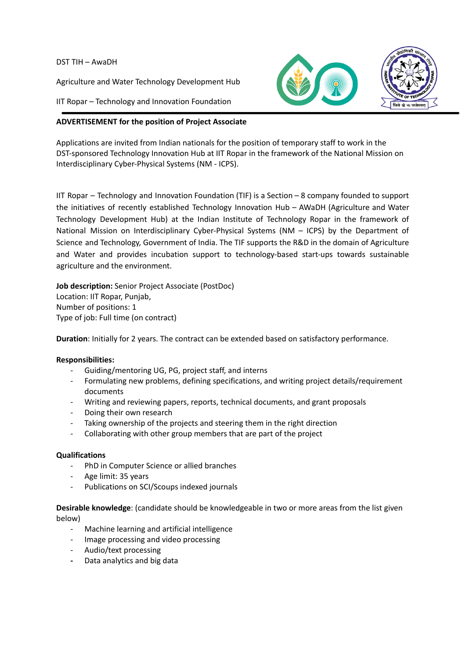#### DST TIH – AwaDH

Agriculture and Water Technology Development Hub

IIT Ropar – Technology and Innovation Foundation

# **ADVERTISEMENT for the position of Project Associate**

Applications are invited from Indian nationals for the position of temporary staff to work in the DST-sponsored Technology Innovation Hub at IIT Ropar in the framework of the National Mission on Interdisciplinary Cyber-Physical Systems (NM - ICPS).

IIT Ropar – Technology and Innovation Foundation (TIF) is a Section – 8 company founded to support the initiatives of recently established Technology Innovation Hub – AWaDH (Agriculture and Water Technology Development Hub) at the Indian Institute of Technology Ropar in the framework of National Mission on Interdisciplinary Cyber-Physical Systems (NM – ICPS) by the Department of Science and Technology, Government of India. The TIF supports the R&D in the domain of Agriculture and Water and provides incubation support to technology-based start-ups towards sustainable agriculture and the environment.

**Job description:** Senior Project Associate (PostDoc) Location: IIT Ropar, Punjab, Number of positions: 1 Type of job: Full time (on contract)

**Duration**: Initially for 2 years. The contract can be extended based on satisfactory performance.

### **Responsibilities:**

- Guiding/mentoring UG, PG, project staff, and interns
- Formulating new problems, defining specifications, and writing project details/requirement documents
- Writing and reviewing papers, reports, technical documents, and grant proposals
- Doing their own research
- Taking ownership of the projects and steering them in the right direction
- Collaborating with other group members that are part of the project

### **Qualifications**

- PhD in Computer Science or allied branches
- Age limit: 35 years
- Publications on SCI/Scoups indexed journals

**Desirable knowledge**: (candidate should be knowledgeable in two or more areas from the list given below)

- Machine learning and artificial intelligence
- Image processing and video processing
- Audio/text processing
- **-** Data analytics and big data